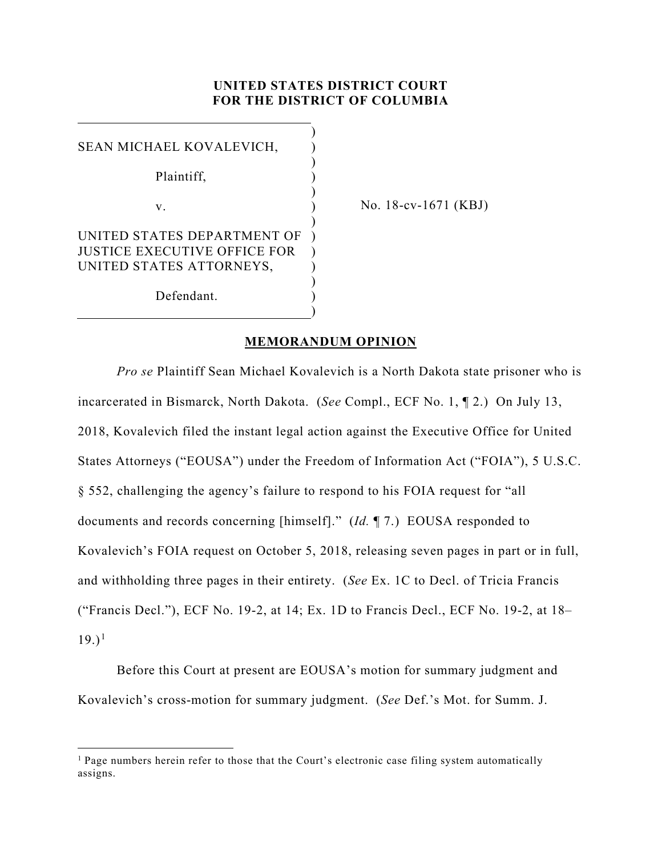## **UNITED STATES DISTRICT COURT FOR THE DISTRICT OF COLUMBIA**

| SEAN MICHAEL KOVALEVICH,     |  |
|------------------------------|--|
| Plaintiff,                   |  |
|                              |  |
| $V_{\cdot}$                  |  |
| UNITED STATES DEPARTMENT OF  |  |
| JUSTICE EXECUTIVE OFFICE FOR |  |
| UNITED STATES ATTORNEYS,     |  |
|                              |  |
| Defendant.                   |  |
|                              |  |

No. 18-cv-1671 (KBJ)

## **MEMORANDUM OPINION**

*Pro se* Plaintiff Sean Michael Kovalevich is a North Dakota state prisoner who is incarcerated in Bismarck, North Dakota. (*See* Compl., ECF No. 1, ¶ 2.) On July 13, 2018, Kovalevich filed the instant legal action against the Executive Office for United States Attorneys ("EOUSA") under the Freedom of Information Act ("FOIA"), 5 U.S.C. § 552, challenging the agency's failure to respond to his FOIA request for "all documents and records concerning [himself]." (*Id.* ¶ 7.) EOUSA responded to Kovalevich's FOIA request on October 5, 2018, releasing seven pages in part or in full, and withholding three pages in their entirety. (*See* Ex. 1C to Decl. of Tricia Francis ("Francis Decl."), ECF No. 19-2, at 14; Ex. 1D to Francis Decl., ECF No. 19-2, at 18–  $(19.)^1$  $(19.)^1$  $(19.)^1$ 

Before this Court at present are EOUSA's motion for summary judgment and Kovalevich's cross-motion for summary judgment. (*See* Def.'s Mot. for Summ. J.

<span id="page-0-0"></span><sup>&</sup>lt;sup>1</sup> Page numbers herein refer to those that the Court's electronic case filing system automatically assigns.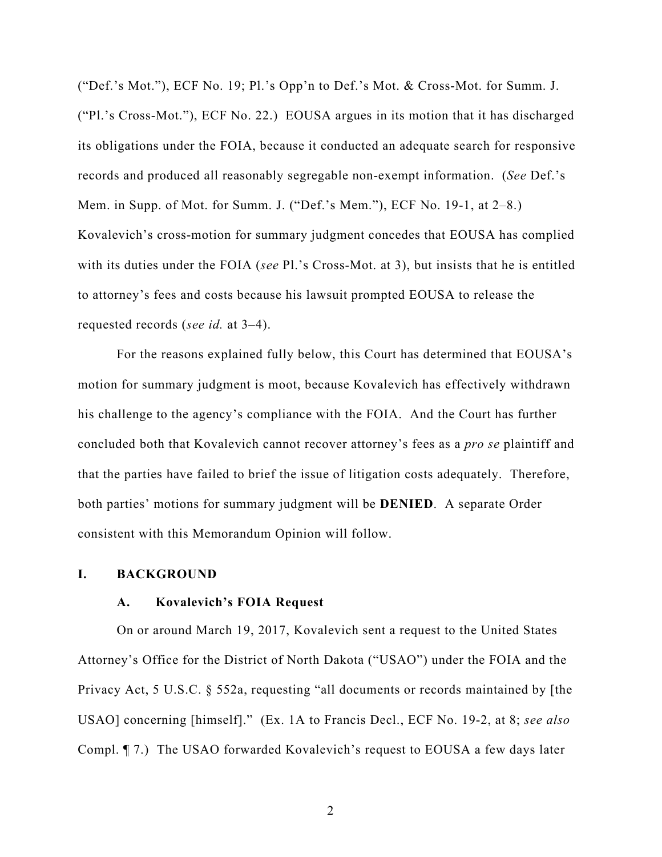("Def.'s Mot."), ECF No. 19; Pl.'s Opp'n to Def.'s Mot. & Cross-Mot. for Summ. J. ("Pl.'s Cross-Mot."), ECF No. 22.) EOUSA argues in its motion that it has discharged its obligations under the FOIA, because it conducted an adequate search for responsive records and produced all reasonably segregable non-exempt information. (*See* Def.'s Mem. in Supp. of Mot. for Summ. J. ("Def.'s Mem."), ECF No. 19-1, at 2–8.) Kovalevich's cross-motion for summary judgment concedes that EOUSA has complied with its duties under the FOIA (*see* Pl.'s Cross-Mot. at 3), but insists that he is entitled to attorney's fees and costs because his lawsuit prompted EOUSA to release the requested records (*see id.* at 3–4).

For the reasons explained fully below, this Court has determined that EOUSA's motion for summary judgment is moot, because Kovalevich has effectively withdrawn his challenge to the agency's compliance with the FOIA. And the Court has further concluded both that Kovalevich cannot recover attorney's fees as a *pro se* plaintiff and that the parties have failed to brief the issue of litigation costs adequately. Therefore, both parties' motions for summary judgment will be **DENIED**. A separate Order consistent with this Memorandum Opinion will follow.

#### **I. BACKGROUND**

## **A. Kovalevich's FOIA Request**

On or around March 19, 2017, Kovalevich sent a request to the United States Attorney's Office for the District of North Dakota ("USAO") under the FOIA and the Privacy Act, 5 U.S.C. § 552a, requesting "all documents or records maintained by [the USAO] concerning [himself]." (Ex. 1A to Francis Decl., ECF No. 19-2, at 8; *see also*  Compl. ¶ 7.) The USAO forwarded Kovalevich's request to EOUSA a few days later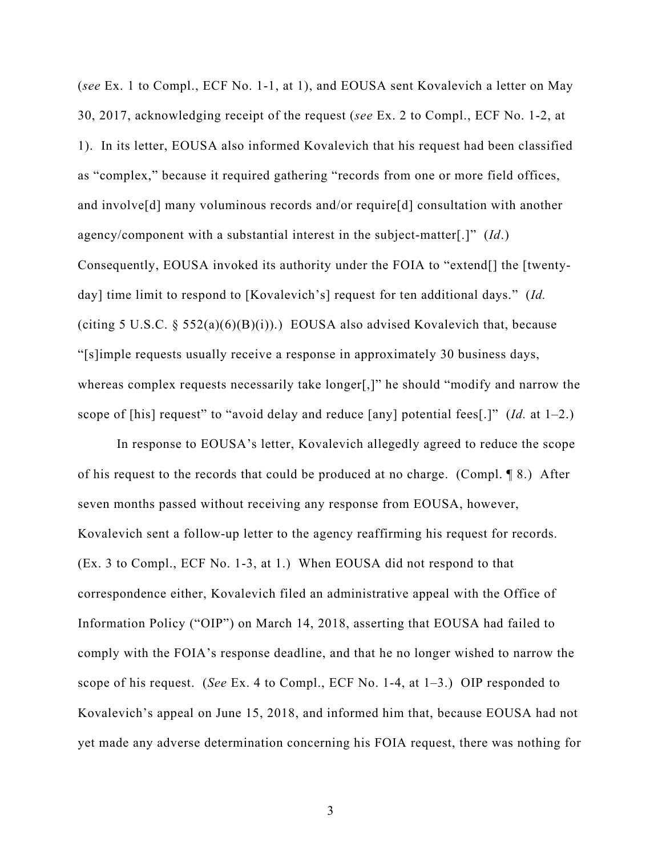(*see* Ex. 1 to Compl., ECF No. 1-1, at 1), and EOUSA sent Kovalevich a letter on May 30, 2017, acknowledging receipt of the request (*see* Ex. 2 to Compl., ECF No. 1-2, at 1). In its letter, EOUSA also informed Kovalevich that his request had been classified as "complex," because it required gathering "records from one or more field offices, and involve[d] many voluminous records and/or require[d] consultation with another agency/component with a substantial interest in the subject-matter[.]" (*Id*.) Consequently, EOUSA invoked its authority under the FOIA to "extend[] the [twentyday] time limit to respond to [Kovalevich's] request for ten additional days." (*Id.* (citing 5 U.S.C. § 552(a)(6)(B)(i)).) EOUSA also advised Kovalevich that, because "[s]imple requests usually receive a response in approximately 30 business days, whereas complex requests necessarily take longer[,]" he should "modify and narrow the scope of [his] request" to "avoid delay and reduce [any] potential fees[.]" (*Id.* at 1–2.)

In response to EOUSA's letter, Kovalevich allegedly agreed to reduce the scope of his request to the records that could be produced at no charge. (Compl. ¶ 8.) After seven months passed without receiving any response from EOUSA, however, Kovalevich sent a follow-up letter to the agency reaffirming his request for records. (Ex. 3 to Compl., ECF No. 1-3, at 1.) When EOUSA did not respond to that correspondence either, Kovalevich filed an administrative appeal with the Office of Information Policy ("OIP") on March 14, 2018, asserting that EOUSA had failed to comply with the FOIA's response deadline, and that he no longer wished to narrow the scope of his request. (*See* Ex. 4 to Compl., ECF No. 1-4, at 1–3.) OIP responded to Kovalevich's appeal on June 15, 2018, and informed him that, because EOUSA had not yet made any adverse determination concerning his FOIA request, there was nothing for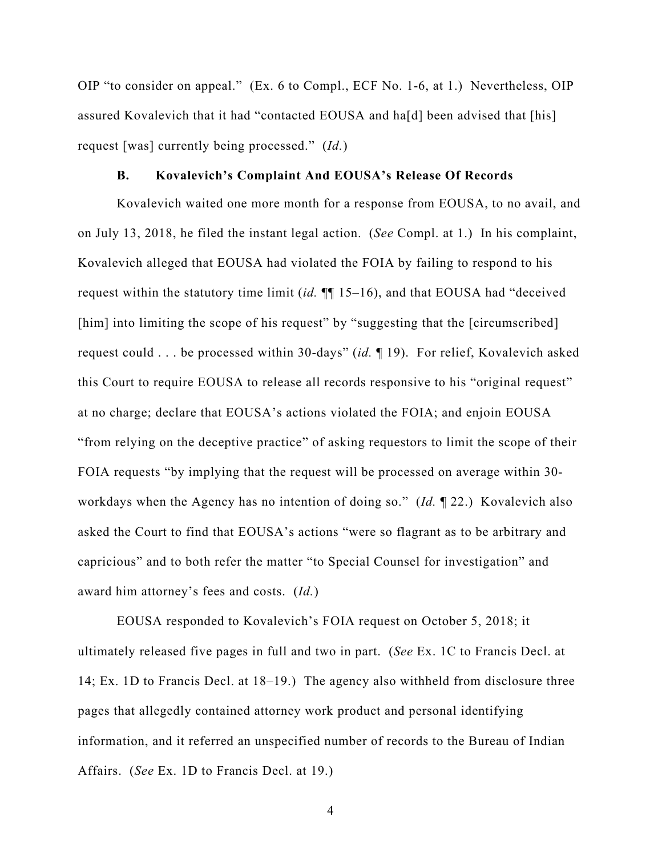OIP "to consider on appeal." (Ex. 6 to Compl., ECF No. 1-6, at 1.) Nevertheless, OIP assured Kovalevich that it had "contacted EOUSA and ha[d] been advised that [his] request [was] currently being processed." (*Id.*)

# **B. Kovalevich's Complaint And EOUSA's Release Of Records**

Kovalevich waited one more month for a response from EOUSA, to no avail, and on July 13, 2018, he filed the instant legal action. (*See* Compl. at 1.) In his complaint, Kovalevich alleged that EOUSA had violated the FOIA by failing to respond to his request within the statutory time limit (*id.* ¶¶ 15–16), and that EOUSA had "deceived [him] into limiting the scope of his request" by "suggesting that the [circumscribed] request could . . . be processed within 30-days" (*id.* ¶ 19). For relief, Kovalevich asked this Court to require EOUSA to release all records responsive to his "original request" at no charge; declare that EOUSA's actions violated the FOIA; and enjoin EOUSA "from relying on the deceptive practice" of asking requestors to limit the scope of their FOIA requests "by implying that the request will be processed on average within 30 workdays when the Agency has no intention of doing so." (*Id.* ¶ 22.) Kovalevich also asked the Court to find that EOUSA's actions "were so flagrant as to be arbitrary and capricious" and to both refer the matter "to Special Counsel for investigation" and award him attorney's fees and costs. (*Id.*)

EOUSA responded to Kovalevich's FOIA request on October 5, 2018; it ultimately released five pages in full and two in part. (*See* Ex. 1C to Francis Decl. at 14; Ex. 1D to Francis Decl. at 18–19.) The agency also withheld from disclosure three pages that allegedly contained attorney work product and personal identifying information, and it referred an unspecified number of records to the Bureau of Indian Affairs. (*See* Ex. 1D to Francis Decl. at 19.)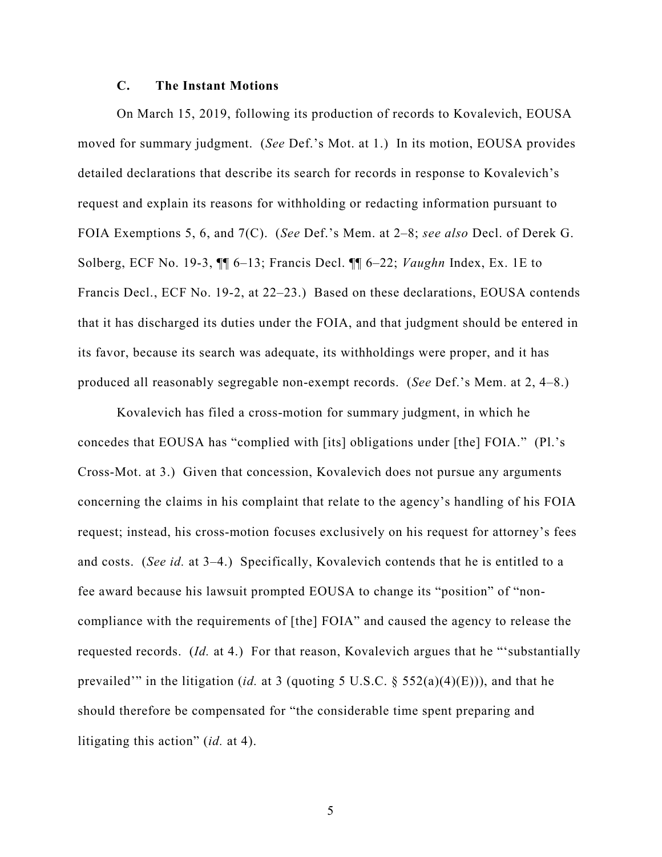## **C. The Instant Motions**

On March 15, 2019, following its production of records to Kovalevich, EOUSA moved for summary judgment. (*See* Def.'s Mot. at 1.) In its motion, EOUSA provides detailed declarations that describe its search for records in response to Kovalevich's request and explain its reasons for withholding or redacting information pursuant to FOIA Exemptions 5, 6, and 7(C). (*See* Def.'s Mem. at 2–8; *see also* Decl. of Derek G. Solberg, ECF No. 19-3, ¶¶ 6–13; Francis Decl. ¶¶ 6–22; *Vaughn* Index, Ex. 1E to Francis Decl., ECF No. 19-2, at 22–23.) Based on these declarations, EOUSA contends that it has discharged its duties under the FOIA, and that judgment should be entered in its favor, because its search was adequate, its withholdings were proper, and it has produced all reasonably segregable non-exempt records. (*See* Def.'s Mem. at 2, 4–8.)

Kovalevich has filed a cross-motion for summary judgment, in which he concedes that EOUSA has "complied with [its] obligations under [the] FOIA." (Pl.'s Cross-Mot. at 3.) Given that concession, Kovalevich does not pursue any arguments concerning the claims in his complaint that relate to the agency's handling of his FOIA request; instead, his cross-motion focuses exclusively on his request for attorney's fees and costs. (*See id.* at 3–4.) Specifically, Kovalevich contends that he is entitled to a fee award because his lawsuit prompted EOUSA to change its "position" of "noncompliance with the requirements of [the] FOIA" and caused the agency to release the requested records. (*Id.* at 4.) For that reason, Kovalevich argues that he "'substantially prevailed'" in the litigation (*id.* at 3 (quoting 5 U.S.C. § 552(a)(4)(E))), and that he should therefore be compensated for "the considerable time spent preparing and litigating this action" (*id.* at 4).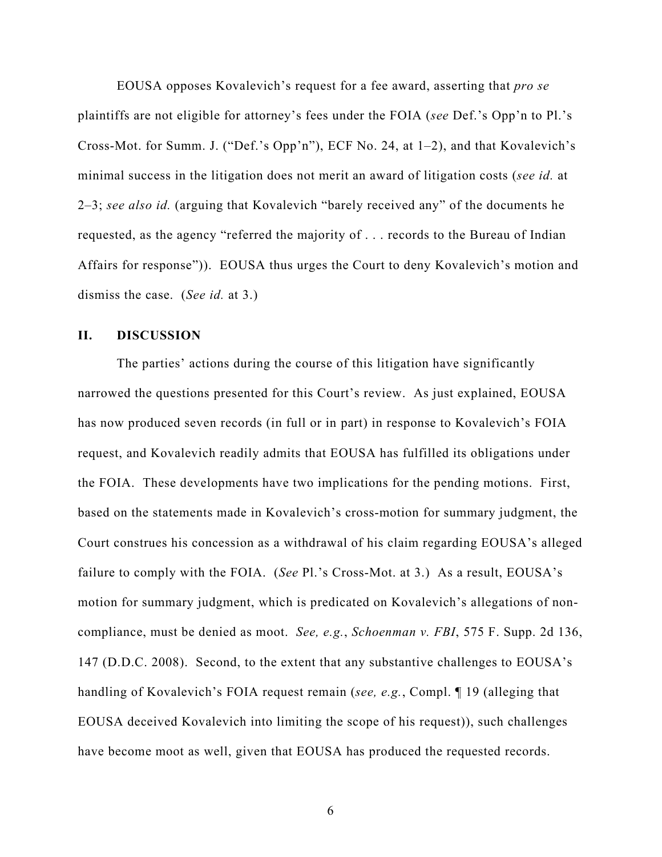EOUSA opposes Kovalevich's request for a fee award, asserting that *pro se*  plaintiffs are not eligible for attorney's fees under the FOIA (*see* Def.'s Opp'n to Pl.'s Cross-Mot. for Summ. J. ("Def.'s Opp'n"), ECF No. 24, at 1–2), and that Kovalevich's minimal success in the litigation does not merit an award of litigation costs (*see id.* at 2–3; *see also id.* (arguing that Kovalevich "barely received any" of the documents he requested, as the agency "referred the majority of . . . records to the Bureau of Indian Affairs for response")). EOUSA thus urges the Court to deny Kovalevich's motion and dismiss the case. (*See id.* at 3.)

## **II. DISCUSSION**

The parties' actions during the course of this litigation have significantly narrowed the questions presented for this Court's review. As just explained, EOUSA has now produced seven records (in full or in part) in response to Kovalevich's FOIA request, and Kovalevich readily admits that EOUSA has fulfilled its obligations under the FOIA. These developments have two implications for the pending motions. First, based on the statements made in Kovalevich's cross-motion for summary judgment, the Court construes his concession as a withdrawal of his claim regarding EOUSA's alleged failure to comply with the FOIA. (*See* Pl.'s Cross-Mot. at 3.) As a result, EOUSA's motion for summary judgment, which is predicated on Kovalevich's allegations of noncompliance, must be denied as moot. *See, e.g.*, *Schoenman v. FBI*, 575 F. Supp. 2d 136, 147 (D.D.C. 2008). Second, to the extent that any substantive challenges to EOUSA's handling of Kovalevich's FOIA request remain (*see, e.g.*, Compl. ¶ 19 (alleging that EOUSA deceived Kovalevich into limiting the scope of his request)), such challenges have become moot as well, given that EOUSA has produced the requested records.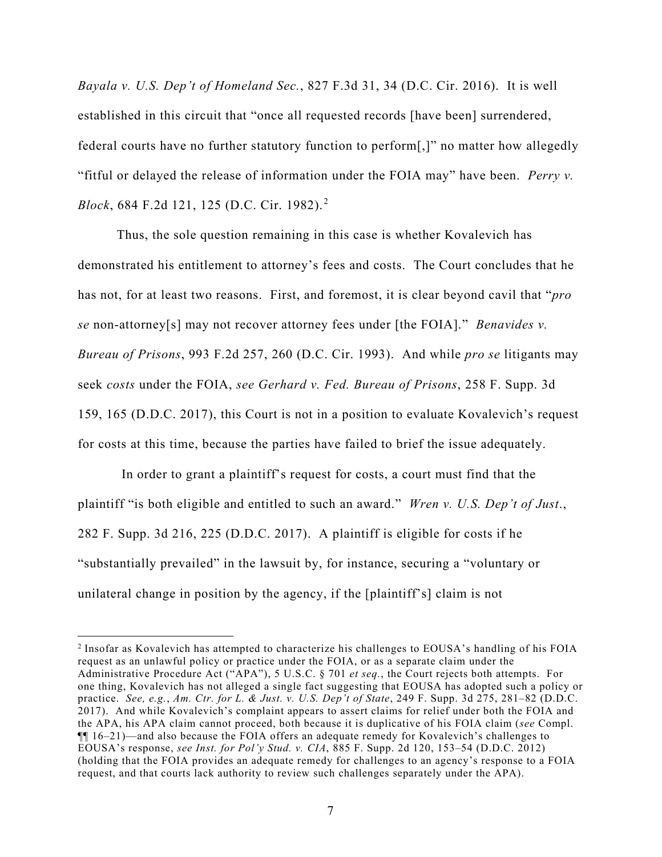*Bayala v. U.S. Dep't of Homeland Sec.*, 827 F.3d 31, 34 (D.C. Cir. 2016). It is well established in this circuit that "once all requested records [have been] surrendered, federal courts have no further statutory function to perform[,]" no matter how allegedly "fitful or delayed the release of information under the FOIA may" have been. *Perry v. Block*, 684 F.2d 121, 125 (D.C. Cir. 1982). [2](#page-6-0)

Thus, the sole question remaining in this case is whether Kovalevich has demonstrated his entitlement to attorney's fees and costs. The Court concludes that he has not, for at least two reasons. First, and foremost, it is clear beyond cavil that "*pro se* non-attorney[s] may not recover attorney fees under [the FOIA]." *Benavides v. Bureau of Prisons*, 993 F.2d 257, 260 (D.C. Cir. 1993). And while *pro se* litigants may seek *costs* under the FOIA, *see Gerhard v. Fed. Bureau of Prisons*, 258 F. Supp. 3d 159, 165 (D.D.C. 2017), this Court is not in a position to evaluate Kovalevich's request for costs at this time, because the parties have failed to brief the issue adequately.

In order to grant a plaintiff's request for costs, a court must find that the plaintiff "is both eligible and entitled to such an award." *Wren v. U.S. Dep't of Just*., 282 F. Supp. 3d 216, 225 (D.D.C. 2017). A plaintiff is eligible for costs if he "substantially prevailed" in the lawsuit by, for instance, securing a "voluntary or unilateral change in position by the agency, if the [plaintiff's] claim is not

<span id="page-6-0"></span><sup>2</sup> Insofar as Kovalevich has attempted to characterize his challenges to EOUSA's handling of his FOIA request as an unlawful policy or practice under the FOIA, or as a separate claim under the Administrative Procedure Act ("APA"), 5 U.S.C. § 701 *et seq.*, the Court rejects both attempts. For one thing, Kovalevich has not alleged a single fact suggesting that EOUSA has adopted such a policy or practice. *See, e.g.*, *Am. Ctr. for L. & Just. v. U.S. Dep't of State*, 249 F. Supp. 3d 275, 281–82 (D.D.C. 2017). And while Kovalevich's complaint appears to assert claims for relief under both the FOIA and the APA, his APA claim cannot proceed, both because it is duplicative of his FOIA claim (*see* Compl.  $\P$  $16-21$ )—and also because the FOIA offers an adequate remedy for Kovalevich's challenges to EOUSA's response, *see Inst. for Pol'y Stud. v. CIA*, 885 F. Supp. 2d 120, 153–54 (D.D.C. 2012) (holding that the FOIA provides an adequate remedy for challenges to an agency's response to a FOIA request, and that courts lack authority to review such challenges separately under the APA).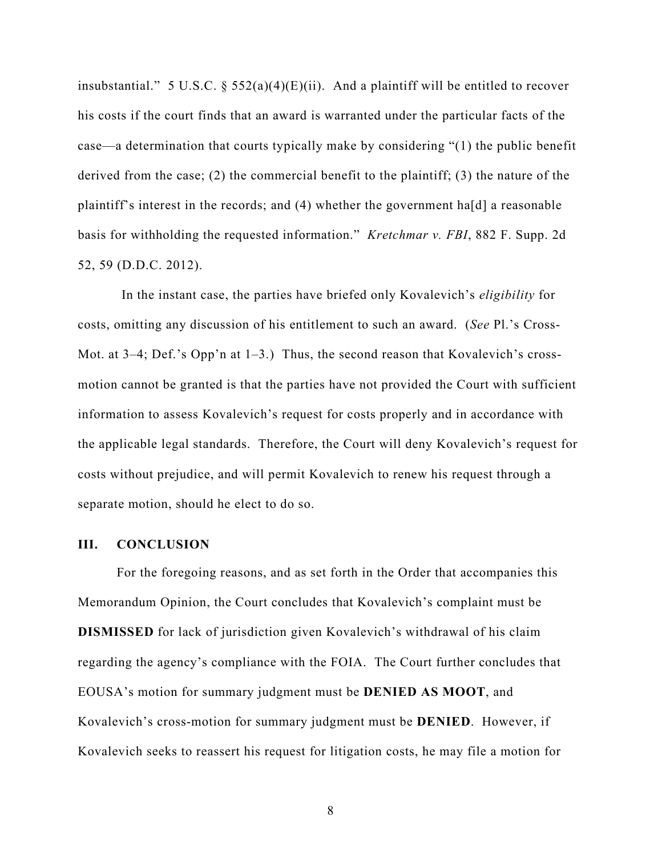insubstantial." 5 U.S.C.  $\S$  552(a)(4)(E)(ii). And a plaintiff will be entitled to recover his costs if the court finds that an award is warranted under the particular facts of the case—a determination that courts typically make by considering "(1) the public benefit derived from the case; (2) the commercial benefit to the plaintiff; (3) the nature of the plaintiff's interest in the records; and (4) whether the government ha[d] a reasonable basis for withholding the requested information." *Kretchmar v. FBI*, 882 F. Supp. 2d 52, 59 (D.D.C. 2012).

In the instant case, the parties have briefed only Kovalevich's *eligibility* for costs, omitting any discussion of his entitlement to such an award. (*See* Pl.'s Cross-Mot. at 3–4; Def.'s Opp'n at 1–3.) Thus, the second reason that Kovalevich's crossmotion cannot be granted is that the parties have not provided the Court with sufficient information to assess Kovalevich's request for costs properly and in accordance with the applicable legal standards. Therefore, the Court will deny Kovalevich's request for costs without prejudice, and will permit Kovalevich to renew his request through a separate motion, should he elect to do so.

### **III. CONCLUSION**

For the foregoing reasons, and as set forth in the Order that accompanies this Memorandum Opinion, the Court concludes that Kovalevich's complaint must be **DISMISSED** for lack of jurisdiction given Kovalevich's withdrawal of his claim regarding the agency's compliance with the FOIA. The Court further concludes that EOUSA's motion for summary judgment must be **DENIED AS MOOT**, and Kovalevich's cross-motion for summary judgment must be **DENIED**. However, if Kovalevich seeks to reassert his request for litigation costs, he may file a motion for